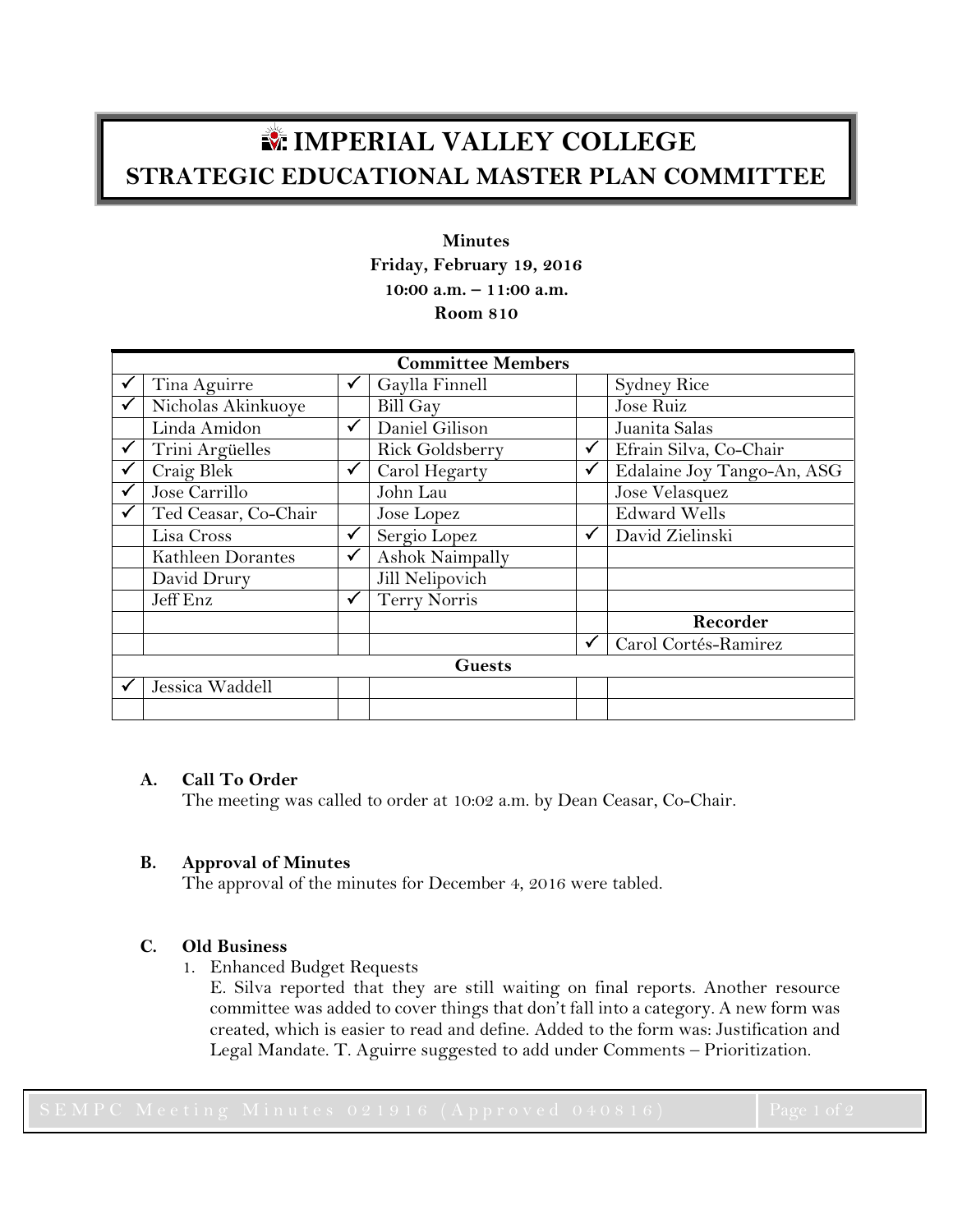# **IMPERIAL VALLEY COLLEGE STRATEGIC EDUCATIONAL MASTER PLAN COMMITTEE**

**Minutes Friday, February 19, 2016 10:00 a.m. – 11:00 a.m. Room 810**

| <b>Committee Members</b> |                      |              |                 |              |                            |
|--------------------------|----------------------|--------------|-----------------|--------------|----------------------------|
|                          | Tina Aguirre         | ✔            | Gaylla Finnell  |              | <b>Sydney Rice</b>         |
|                          | Nicholas Akinkuoye   |              | Bill Gay        |              | Jose Ruiz                  |
|                          | Linda Amidon         | $\checkmark$ | Daniel Gilison  |              | Juanita Salas              |
|                          | Trini Argüelles      |              | Rick Goldsberry | $\checkmark$ | Efrain Silva, Co-Chair     |
|                          | Craig Blek           | ✓            | Carol Hegarty   | ✓            | Edalaine Joy Tango-An, ASG |
|                          | Jose Carrillo        |              | John Lau        |              | Jose Velasquez             |
|                          | Ted Ceasar, Co-Chair |              | Jose Lopez      |              | <b>Edward Wells</b>        |
|                          | Lisa Cross           | ✓            | Sergio Lopez    | ✓            | David Zielinski            |
|                          | Kathleen Dorantes    | $\checkmark$ | Ashok Naimpally |              |                            |
|                          | David Drury          |              | Jill Nelipovich |              |                            |
|                          | Jeff Enz             | ✓            | Terry Norris    |              |                            |
|                          |                      |              |                 |              | Recorder                   |
|                          |                      |              |                 | $\checkmark$ | Carol Cortés-Ramirez       |
| <b>Guests</b>            |                      |              |                 |              |                            |
|                          | Jessica Waddell      |              |                 |              |                            |
|                          |                      |              |                 |              |                            |

# **A. Call To Order**

The meeting was called to order at 10:02 a.m. by Dean Ceasar, Co-Chair.

# **B. Approval of Minutes**

The approval of the minutes for December 4, 2016 were tabled.

# **C. Old Business**

1. Enhanced Budget Requests

E. Silva reported that they are still waiting on final reports. Another resource committee was added to cover things that don't fall into a category. A new form was created, which is easier to read and define. Added to the form was: Justification and Legal Mandate. T. Aguirre suggested to add under Comments – Prioritization.